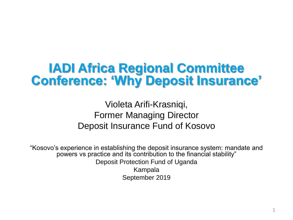# **IADI Africa Regional Committee Conference: 'Why Deposit Insurance'**

Violeta Arifi-Krasniqi, Former Managing Director Deposit Insurance Fund of Kosovo

"Kosovo's experience in establishing the deposit insurance system: mandate and powers vs practice and its contribution to the financial stability" Deposit Protection Fund of Uganda Kampala September 2019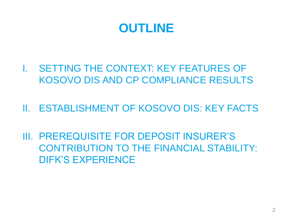

- I. SETTING THE CONTEXT: KEY FEATURES OF KOSOVO DIS AND CP COMPLIANCE RESULTS
- II. ESTABLISHMENT OF KOSOVO DIS: KEY FACTS
- III. PREREQUISITE FOR DEPOSIT INSURER'S CONTRIBUTION TO THE FINANCIAL STABILITY: DIFK'S EXPERIENCE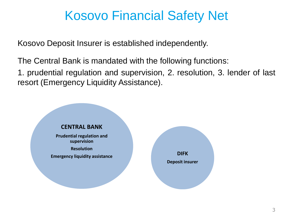# Kosovo Financial Safety Net

Kosovo Deposit Insurer is established independently.

The Central Bank is mandated with the following functions:

1. prudential regulation and supervision, 2. resolution, 3. lender of last resort (Emergency Liquidity Assistance).

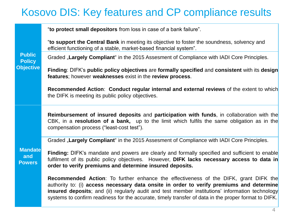### Kosovo DIS: Key features and CP compliance results

| <b>Public</b><br><b>Policy</b><br><b>Objective</b> | "to protect small depositors from loss in case of a bank failure".                                                                                                                                                                                                                                                                                                                                         |
|----------------------------------------------------|------------------------------------------------------------------------------------------------------------------------------------------------------------------------------------------------------------------------------------------------------------------------------------------------------------------------------------------------------------------------------------------------------------|
|                                                    | "to support the Central Bank in meeting its objective to foster the soundness, solvency and<br>efficient functioning of a stable, market-based financial system".                                                                                                                                                                                                                                          |
|                                                    | Graded "Largely Compliant" in the 2015 Assesment of Compliance with IADI Core Principles.                                                                                                                                                                                                                                                                                                                  |
|                                                    | Finding: DIFK's public policy objectives are formally specified and consistent with its design<br>features; however weaknesses exist in the review process.                                                                                                                                                                                                                                                |
|                                                    | Recommended Action: Conduct regular internal and external reviews of the extent to which<br>the DIFK is meeting its public policy objectives.                                                                                                                                                                                                                                                              |
| <b>Mandate</b><br>and<br><b>Powers</b>             | Reimbursement of insured deposits and participation with funds, in collaboration with the<br>CBK, in a resolution of a bank, up to the limit which fulfils the same obligation as in the<br>compensation process ("least-cost test").                                                                                                                                                                      |
|                                                    | Graded "Largely Compliant" in the 2015 Assesment of Compliance with IADI Core Principles.                                                                                                                                                                                                                                                                                                                  |
|                                                    | Finding: DIFK's mandate and powers are clearly and formally specified and sufficient to enable<br>fulfilment of its public policy objectives. However, DIFK lacks necessary access to data in<br>order to verify premiums and determine insured deposits.                                                                                                                                                  |
|                                                    | <b>Recommended Action:</b> To further enhance the effectiveness of the DIFK, grant DIFK the<br>authority to: (i) access necessary data onsite in order to verify premiums and determine<br><b>insured deposits</b> ; and (ii) regularly audit and test member institutions' information technology<br>systems to confirm readiness for the accurate, timely transfer of data in the proper format to DIFK. |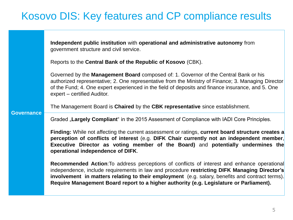### Kosovo DIS: Key features and CP compliance results

|                   | Independent public institution with operational and administrative autonomy from<br>government structure and civil service.                                                                                                                                                                                                                                                                      |
|-------------------|--------------------------------------------------------------------------------------------------------------------------------------------------------------------------------------------------------------------------------------------------------------------------------------------------------------------------------------------------------------------------------------------------|
|                   | Reports to the Central Bank of the Republic of Kosovo (CBK).                                                                                                                                                                                                                                                                                                                                     |
| <b>Governance</b> | Governed by the <b>Management Board</b> composed of: 1. Governor of the Central Bank or his<br>authorized representative; 2. One representative from the Ministry of Finance; 3. Managing Director<br>of the Fund; 4. One expert experienced in the field of deposits and finance insurance, and 5. One<br>expert – certified Auditor.                                                           |
|                   | The Management Board is Chaired by the CBK representative since establishment.                                                                                                                                                                                                                                                                                                                   |
|                   | Graded "Largely Compliant" in the 2015 Assesment of Compliance with IADI Core Principles.                                                                                                                                                                                                                                                                                                        |
|                   | Finding: While not affecting the current assessment or ratings, current board structure creates a<br>perception of conflicts of interest (e.g. DIFK Chair currently not an independent member,<br>Executive Director as voting member of the Board) and potentially undermines the<br>operational independence of DIFK.                                                                          |
|                   | <b>Recommended Action:</b> To address perceptions of conflicts of interest and enhance operational<br>independence, include requirements in law and procedure restricting DIFK Managing Director's<br>involvement in matters relating to their employment (e.g. salary, benefits and contract terms).<br>Require Management Board report to a higher authority (e.g. Legislature or Parliament). |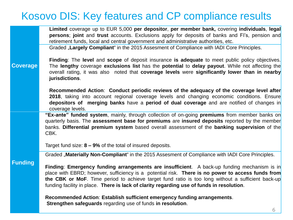### Kosovo DIS: Key features and CP compliance results

|                 | Limited coverage up to EUR 5,000 per depositor, per member bank, covering individuals, legal<br>persons; joint and trust accounts. Exclusions apply for deposits of banks and FI's, pension and<br>retirement funds, local and central government and administrative authorities, etc.                                                                                                             |
|-----------------|----------------------------------------------------------------------------------------------------------------------------------------------------------------------------------------------------------------------------------------------------------------------------------------------------------------------------------------------------------------------------------------------------|
| <b>Coverage</b> | Graded "Largely Compliant" in the 2015 Assesment of Compliance with IADI Core Principles.                                                                                                                                                                                                                                                                                                          |
|                 | Finding: The level and scope of deposit insurance is adequate to meet public policy objectives.<br>The lengthy coverage exclusions list has the potential to delay payout. While not affecting the<br>overall rating, it was also noted that coverage levels were significantly lower than in nearby<br>jurisdictions.                                                                             |
|                 | Recommended Action: Conduct periodic reviews of the adequacy of the coverage level after<br>2018, taking into account regional coverage levels and changing economic conditions. Ensure<br>depositors of merging banks have a period of dual coverage and are notified of changes in<br>coverage levels.                                                                                           |
| <b>Funding</b>  | "Ex-ante" funded system, mainly, through collection of on-going premiums from member banks on<br>quarterly basis. The assessment base for premiums are insured deposits reported by the member<br>banks. Differential premium system based overall assessment of the banking supervision of the<br>CBK.                                                                                            |
|                 | Target fund size: $8 - 9\%$ of the total of insured deposits.                                                                                                                                                                                                                                                                                                                                      |
|                 | Graded "Materially Non-Compliant" in the 2015 Assesment of Compliance with IADI Core Principles.                                                                                                                                                                                                                                                                                                   |
|                 | Finding: Emergency funding arrangements are insufficient. A back-up funding mechanism is in<br>place with EBRD; however, sufficiency is a potential risk. There is no power to access funds from<br>the CBK or MoF. Time period to achieve target fund ratio is too long without a sufficient back-up<br>funding facility in place. There is lack of clarity regarding use of funds in resolution. |
|                 | Recommended Action: Establish sufficient emergency funding arrangements.<br>Strengthen safeguards regarding use of funds in resolution.<br>C.                                                                                                                                                                                                                                                      |
|                 |                                                                                                                                                                                                                                                                                                                                                                                                    |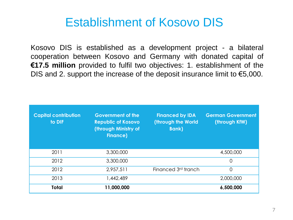## Establishment of Kosovo DIS

Kosovo DIS is established as a development project - a bilateral cooperation between Kosovo and Germany with donated capital of **€17.5 million** provided to fulfil two objectives: 1. establishment of the DIS and 2. support the increase of the deposit insurance limit to  $\epsilon$ 5,000.

| <b>Capital contribution</b><br>to DIF | <b>Government of the</b><br><b>Republic of Kosovo</b><br>(through Ministry of<br><b>Finance)</b> | <b>Financed by IDA</b><br>(through the World<br><b>Bank</b> ) | <b>German Government</b><br>(through KfW) |
|---------------------------------------|--------------------------------------------------------------------------------------------------|---------------------------------------------------------------|-------------------------------------------|
| 2011                                  | 3,300,000                                                                                        |                                                               | 4,500,000                                 |
| 2012                                  | 3,300,000                                                                                        |                                                               | $\overline{0}$                            |
| 2012                                  | 2,957,511                                                                                        | Financed 3 <sup>rd</sup> tranch                               | $\overline{0}$                            |
| 2013                                  | 1,442,489                                                                                        |                                                               | 2,000,000                                 |
| <b>Total</b>                          | 11,000,000                                                                                       |                                                               | 6,500,000                                 |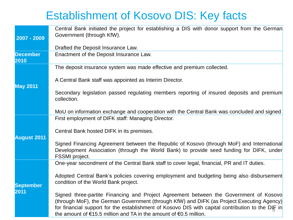## Establishment of Kosovo DIS: Key facts

| $2007 - 2009$           | Central Bank initiated the project for establishing a DIS with donor support from the German<br>Government (through KfW).                                                                                                                                                                                                                                                        |
|-------------------------|----------------------------------------------------------------------------------------------------------------------------------------------------------------------------------------------------------------------------------------------------------------------------------------------------------------------------------------------------------------------------------|
|                         | Drafted the Deposit Insurance Law.                                                                                                                                                                                                                                                                                                                                               |
| <b>December</b><br>2010 | Enactment of the Deposit Insurance Law.                                                                                                                                                                                                                                                                                                                                          |
| <b>May 2011</b>         | The deposit insurance system was made effective and premium collected.                                                                                                                                                                                                                                                                                                           |
|                         | A Central Bank staff was appointed as Interim Director.                                                                                                                                                                                                                                                                                                                          |
|                         | Secondary legislation passed regulating members reporting of insured deposits and premium<br>collection.                                                                                                                                                                                                                                                                         |
|                         | MoU on information exchange and cooperation with the Central Bank was concluded and signed                                                                                                                                                                                                                                                                                       |
|                         | First employment of DIFK staff: Managing Director.                                                                                                                                                                                                                                                                                                                               |
| <b>August 2011</b>      | Central Bank hosted DIFK in its premises.                                                                                                                                                                                                                                                                                                                                        |
|                         | Signed Financing Agreement between the Republic of Kosovo (through MoF) and International<br>Development Association (through the World Bank) to provide seed funding for DIFK, under<br>FSSMI project.                                                                                                                                                                          |
|                         | One-year secondment of the Central Bank staff to cover legal, financial, PR and IT duties.                                                                                                                                                                                                                                                                                       |
| <b>September</b>        | Adopted Central Bank's policies covering employment and budgeting being also disbursement<br>condition of the World Bank project.                                                                                                                                                                                                                                                |
| 2011                    | Signed three-partite Financing and Project Agreement between the Government of Kosovo<br>(through MoF), the German Government (through KfW) and DIFK (as Project Executing Agency)<br>for financial support for the establishment of Kosovo DIS with capital contribution to the DIF in<br>the amount of $\epsilon$ 15.5 million and TA in the amount of $\epsilon$ 0.5 million. |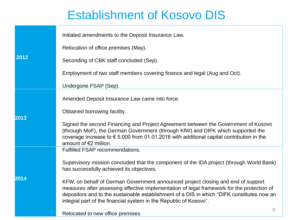## Establishment of Kosovo DIS

|      | Initiated amendments to the Deposit Insurance Law.                                                                                                                                                                                                                                                                                                |
|------|---------------------------------------------------------------------------------------------------------------------------------------------------------------------------------------------------------------------------------------------------------------------------------------------------------------------------------------------------|
|      | Relocation of office premises (May).                                                                                                                                                                                                                                                                                                              |
| 2012 | Seconding of CBK staff concluded (Sep).                                                                                                                                                                                                                                                                                                           |
|      | Employment of two staff members covering finance and legal (Aug and Oct).                                                                                                                                                                                                                                                                         |
|      | Undergone FSAP (Sep).                                                                                                                                                                                                                                                                                                                             |
|      | Amended Deposit Insurance Law came into force.                                                                                                                                                                                                                                                                                                    |
| 2013 | Obtained borrowing facility.                                                                                                                                                                                                                                                                                                                      |
|      | Signed the second Financing and Project Agreement between the Government of Kosovo<br>(through MoF), the German Government (through KfW) and DIFK which supported the<br>coverage increase to $\epsilon$ 5,000 from 01.01.2018 with additional capital contribution in the<br>amount of $E$ 2 million.                                            |
|      | Fulfilled FSAP recommendations.                                                                                                                                                                                                                                                                                                                   |
|      | Supervisory mission concluded that the component of the IDA project (through World Bank)<br>has successfully achieved its objectives.                                                                                                                                                                                                             |
| 2014 | KFW, on behalf of German Government announced project closing and end of support<br>measures after assessing effective implementation of legal framework for the protection of<br>depositors and to the sustainable establishment of a DIS in which "DIFK constitutes now an<br>integral part of the financial system in the Republic of Kosovo". |
|      | 9<br>Relocated to new office premises.                                                                                                                                                                                                                                                                                                            |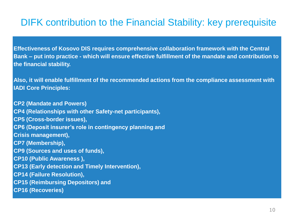#### DIFK contribution to the Financial Stability: key prerequisite

**Effectiveness of Kosovo DIS requires comprehensive collaboration framework with the Central Bank – put into practice - which will ensure effective fulfillment of the mandate and contribution to the financial stability.** 

**Also, it will enable fulfillment of the recommended actions from the compliance assessment with IADI Core Principles:** 

**CP2 (Mandate and Powers) CP4 (Relationships with other Safety-net participants), CP5 (Cross-border issues), CP6 (Deposit insurer's role in contingency planning and Crisis management), CP7 (Membership), CP9 (Sources and uses of funds), CP10 (Public Awareness ), CP13 (Early detection and Timely Intervention), CP14 (Failure Resolution), CP15 (Reimbursing Depositors) and CP16 (Recoveries)**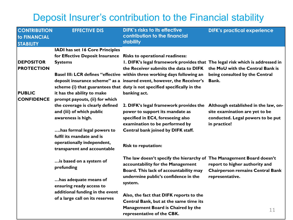#### Deposit Insurer's contribution to the Financial stability

| <b>CONTRIBUTION</b><br><b>to FINANCIAL</b><br><b>STABILITY</b> | <b>EFFECTIVE DIS</b>                                                               | <b>DIFK's risks to its effective</b><br>contribution to the financial<br>stability                                                                   | <b>DIFK's practical experience</b>                                                                                          |
|----------------------------------------------------------------|------------------------------------------------------------------------------------|------------------------------------------------------------------------------------------------------------------------------------------------------|-----------------------------------------------------------------------------------------------------------------------------|
|                                                                | IADI has set 16 Core Principles                                                    |                                                                                                                                                      |                                                                                                                             |
|                                                                | for Effective Deposit Insurance Risks to operational readiness:                    |                                                                                                                                                      |                                                                                                                             |
| <b>DEPOSITOR</b>                                               | <b>Systems</b>                                                                     | I. DIFK's legal framework provides that The legal risk which is addressed in                                                                         |                                                                                                                             |
| <b>PROTECTION</b>                                              |                                                                                    | the Receiver submits the data to DIFK the MoU with the Central Bank is                                                                               |                                                                                                                             |
|                                                                |                                                                                    | Basel III: LCR defines "effective within three working days following an<br>deposit insurance scheme" as a insured event, however, the Receiver's    | being consulted by the Central<br>Bank.                                                                                     |
|                                                                |                                                                                    | scheme (i) that guarantees that duty is not specified specifically in the                                                                            |                                                                                                                             |
| <b>PUBLIC</b>                                                  | it has the ability to make                                                         | banking act.                                                                                                                                         |                                                                                                                             |
| <b>CONFIDENCE</b>                                              | prompt payouts, (ii) for which                                                     |                                                                                                                                                      |                                                                                                                             |
|                                                                | the coverage is clearly defined<br>and (iii) of which public<br>awareness is high. | 2. DIFK's legal framework provides the<br>power to support its mandate as<br>specified in EC4, foreseeing also<br>examination to be performed by     | Although established in the law, on-<br>site examination are yet to be<br>conducted. Legal powers to be put<br>in practice! |
|                                                                | has formal legal powers to                                                         | Central bank joined by DIFK staff.                                                                                                                   |                                                                                                                             |
|                                                                | fulfil its mandate and is                                                          |                                                                                                                                                      |                                                                                                                             |
|                                                                | operationally independent,<br>transparent and accountable                          | <b>Risk to reputation:</b>                                                                                                                           |                                                                                                                             |
|                                                                | is based on a system of<br>prefunding                                              | The law doesn't specify the hierarchy of The Management Board doesn't<br>accountability for the Management<br>Board. This lack of accountability may | report to higher authority and<br><b>Chairperson remains Central Bank</b>                                                   |
|                                                                | has adequate means of<br>ensuring ready access to                                  | undermine public's confidence in the<br>system.                                                                                                      | representative.                                                                                                             |
|                                                                | additional funding in the event<br>of a large call on its reserves                 | Also, the fact that DIFK reports to the                                                                                                              |                                                                                                                             |
|                                                                |                                                                                    | Central Bank, but at the same time its                                                                                                               |                                                                                                                             |
|                                                                |                                                                                    | Management Board is Chaired by the                                                                                                                   |                                                                                                                             |
|                                                                |                                                                                    | representative of the CBK.                                                                                                                           | 11                                                                                                                          |